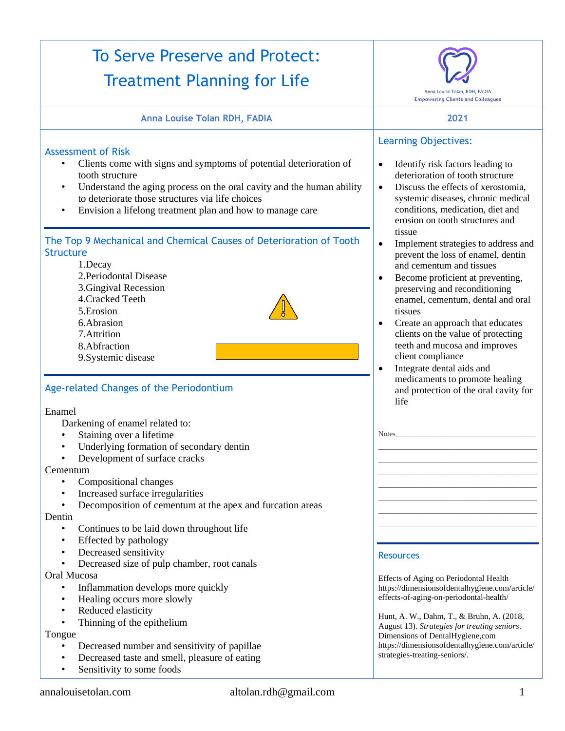#### To Serve Preserve and Protect: Treatment Planning for Life Anna Louise Tolan, RDH, FADIA **Empowering Clients and Colleagues Anna Louise Tolan RDH, FADIA 2021** Learning Objectives: Assessment of Risk • Clients come with signs and symptoms of potential deterioration of • Identify risk factors leading to tooth structure deterioration of tooth structure • Discuss the effects of xerostomia. Understand the aging process on the oral cavity and the human ability to deteriorate those structures via life choices systemic diseases, chronic medical conditions, medication, diet and • Envision a lifelong treatment plan and how to manage care erosion on tooth structures and tissue The Top 9 Mechanical and Chemical Causes of Deterioration of Tooth • Implement strategies to address and **Structure** prevent the loss of enamel, dentin 1.Decay and cementum and tissues 2.Periodontal Disease • Become proficient at preventing, 3.Gingival Recession preserving and reconditioning 4.Cracked Teeth enamel, cementum, dental and oral 5.Erosion tissues 6.Abrasion • Create an approach that educates 7.Attrition clients on the value of protecting teeth and mucosa and improves 8.Abfraction client compliance 9.Systemic disease • Integrate dental aids and medicaments to promote healing Age-related Changes of the Periodontium and protection of the oral cavity for life Enamel Darkening of enamel related to: • Staining over a lifetime Notes Underlying formation of secondary dentin  $\mathcal{L}_\text{max}$  and the set of the set of the set of the set of the set of the set of the set of the set of the set of Development of surface cracks \_\_\_\_\_\_\_\_\_\_\_\_\_\_\_\_\_\_\_\_\_\_\_\_\_\_\_\_\_\_\_\_\_\_\_\_\_\_\_\_\_\_\_ Cementum \_\_\_\_\_\_\_\_\_\_\_\_\_\_\_\_\_\_\_\_\_\_\_\_\_\_\_\_\_\_\_\_\_\_\_\_\_\_\_\_\_\_\_ • Compositional changes  $\mathcal{L}_\text{max}$  and the set of the set of the set of the set of the set of the set of the set of the set of the set of • Increased surface irregularities \_\_\_\_\_\_\_\_\_\_\_\_\_\_\_\_\_\_\_\_\_\_\_\_\_\_\_\_\_\_\_\_\_\_\_\_\_\_\_\_\_\_\_ • Decomposition of cementum at the apex and furcation areas  $\mathcal{L}_\text{max}$  and the set of the set of the set of the set of the set of the set of the set of the set of the set of Dentin \_\_\_\_\_\_\_\_\_\_\_\_\_\_\_\_\_\_\_\_\_\_\_\_\_\_\_\_\_\_\_\_\_\_\_\_\_\_\_\_\_\_\_ Continues to be laid down throughout life • Effected by pathology Decreased sensitivity **Resources** • Decreased size of pulp chamber, root canals Oral Mucosa Effects of Aging on Periodontal Health Inflammation develops more quickly [https://dimensionsofdentalhygiene.com/article/](https://dimensionsofdentalhygiene.com/article/effects-of-aging-on-periodontal-health/) • Healing occurs more slowly [effects-of-aging-on-periodontal-health/](https://dimensionsofdentalhygiene.com/article/effects-of-aging-on-periodontal-health/) Reduced elasticity Hunt, A. W., Dahm, T., & Bruhn, A. (2018, Thinning of the epithelium August 13). *Strategies for treating seniors*. Tongue Dimensions of DentalHygiene,com [https://dimensionsofdentalhygiene.com/article/](https://dimensionsofdentalhygiene.com/article/strategies-treating-seniors/) • Decreased number and sensitivity of papillae [strategies-treating-seniors/.](https://dimensionsofdentalhygiene.com/article/strategies-treating-seniors/)• Decreased taste and smell, pleasure of eating • Sensitivity to some foods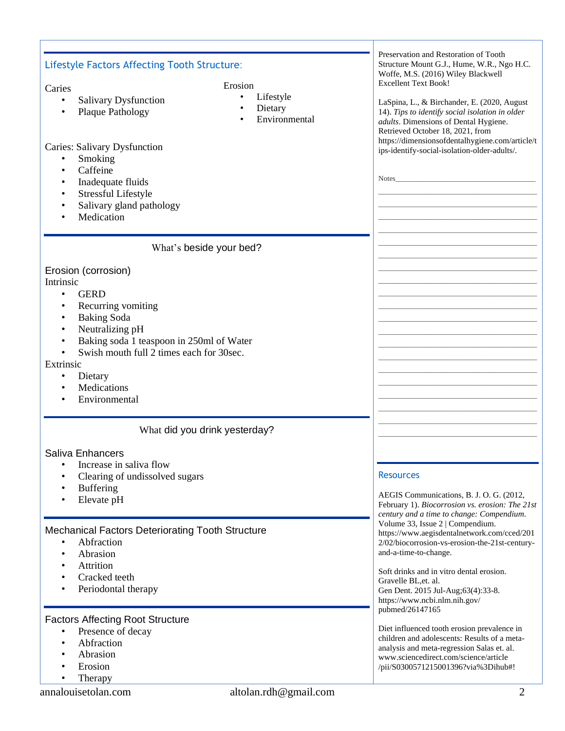| <b>Lifestyle Factors Affecting Tooth Structure:</b>                                                                                                                                                                                                                                           | Preservation and Restoration of Tooth<br>Structure Mount G.J., Hume, W.R., Ngo H.C.                                                                                                                                                                                                                   |
|-----------------------------------------------------------------------------------------------------------------------------------------------------------------------------------------------------------------------------------------------------------------------------------------------|-------------------------------------------------------------------------------------------------------------------------------------------------------------------------------------------------------------------------------------------------------------------------------------------------------|
| Erosion                                                                                                                                                                                                                                                                                       | Woffe, M.S. (2016) Wiley Blackwell<br><b>Excellent Text Book!</b>                                                                                                                                                                                                                                     |
| Caries<br>Lifestyle<br><b>Salivary Dysfunction</b><br>$\bullet$<br>Dietary<br>Plaque Pathology<br>Environmental                                                                                                                                                                               | LaSpina, L., & Birchander, E. (2020, August<br>14). Tips to identify social isolation in older<br>adults. Dimensions of Dental Hygiene.<br>Retrieved October 18, 2021, from                                                                                                                           |
| <b>Caries: Salivary Dysfunction</b><br>Smoking<br>$\bullet$<br>Caffeine<br>Inadequate fluids<br>$\bullet$<br><b>Stressful Lifestyle</b><br>$\bullet$<br>Salivary gland pathology<br>Medication                                                                                                | https://dimensionsofdentalhygiene.com/article/t<br>ips-identify-social-isolation-older-adults/.<br><b>Notes</b>                                                                                                                                                                                       |
| What's beside your bed?                                                                                                                                                                                                                                                                       |                                                                                                                                                                                                                                                                                                       |
| Erosion (corrosion)<br>Intrinsic<br><b>GERD</b><br>$\bullet$<br>Recurring vomiting<br>٠<br><b>Baking Soda</b><br>$\bullet$<br>Neutralizing pH<br>Baking soda 1 teaspoon in 250ml of Water<br>Swish mouth full 2 times each for 30sec.<br>Extrinsic<br>Dietary<br>Medications<br>Environmental |                                                                                                                                                                                                                                                                                                       |
| What did you drink yesterday?                                                                                                                                                                                                                                                                 |                                                                                                                                                                                                                                                                                                       |
| Saliva Enhancers<br>Increase in saliva flow<br>Clearing of undissolved sugars<br><b>Buffering</b><br>Elevate pH                                                                                                                                                                               | <b>Resources</b><br>AEGIS Communications, B. J. O. G. (2012,<br>February 1). Biocorrosion vs. erosion: The 21st<br>century and a time to change: Compendium.                                                                                                                                          |
| Mechanical Factors Deteriorating Tooth Structure<br>Abfraction<br>Abrasion<br>$\bullet$<br>Attrition<br>Cracked teeth<br>Periodontal therapy                                                                                                                                                  | Volume 33, Issue 2   Compendium.<br>https://www.aegisdentalnetwork.com/cced/201<br>2/02/biocorrosion-vs-erosion-the-21st-century-<br>and-a-time-to-change.<br>Soft drinks and in vitro dental erosion.<br>Gravelle BL, et. al.<br>Gen Dent. 2015 Jul-Aug;63(4):33-8.<br>https://www.ncbi.nlm.nih.gov/ |
| <b>Factors Affecting Root Structure</b><br>Presence of decay<br>$\bullet$<br>Abfraction<br>$\bullet$<br>Abrasion<br>Erosion<br>Therapy                                                                                                                                                        | pubmed/26147165<br>Diet influenced tooth erosion prevalence in<br>children and adolescents: Results of a meta-<br>analysis and meta-regression Salas et. al.<br>www.sciencedirect.com/science/article<br>/pii/S0300571215001396?via%3Dihub#!                                                          |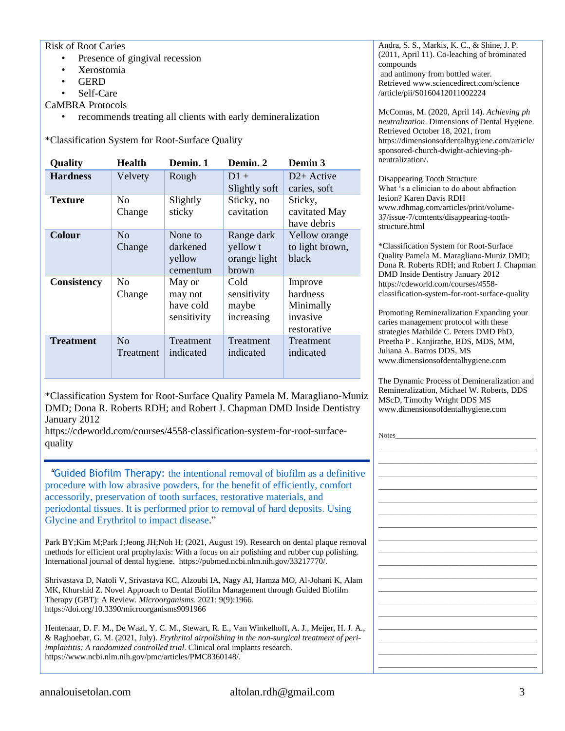#### Risk of Root Caries

- Presence of gingival recession
- Xerostomia
- **GERD**
- Self-Care
- CaMBRA Protocols
	- recommends treating all clients with early demineralization

\*Classification System for Root-Surface Quality

| Quality          | <b>Health</b>            | Demin. 1                                      | Demin. 2                                        | Demin 3                                                     |
|------------------|--------------------------|-----------------------------------------------|-------------------------------------------------|-------------------------------------------------------------|
| <b>Hardness</b>  | Velvety                  | Rough                                         | $D1 +$<br>Slightly soft                         | $D2+$ Active<br>caries, soft                                |
| <b>Texture</b>   | N <sub>0</sub><br>Change | Slightly<br>sticky                            | Sticky, no<br>cavitation                        | Sticky,<br>cavitated May<br>have debris                     |
| <b>Colour</b>    | No<br>Change             | None to<br>darkened<br>yellow<br>cementum     | Range dark<br>yellow t<br>orange light<br>brown | Yellow orange<br>to light brown,<br>black                   |
| Consistency      | N <sub>0</sub><br>Change | May or<br>may not<br>have cold<br>sensitivity | Cold<br>sensitivity<br>maybe<br>increasing      | Improve<br>hardness<br>Minimally<br>invasive<br>restorative |
| <b>Treatment</b> | No<br>Treatment          | Treatment<br>indicated                        | Treatment<br>indicated                          | Treatment<br>indicated                                      |

\*Classification System for Root-Surface Quality Pamela M. Maragliano-Muniz DMD; Dona R. Roberts RDH; and Robert J. Chapman DMD Inside Dentistry January 2012

[https://cdeworld.com/courses/4558-classification-system-for-root-surface](https://cdeworld.com/courses/4558-classification-system-for-root-surface-quality)[quality](https://cdeworld.com/courses/4558-classification-system-for-root-surface-quality)

 *"*Guided Biofilm Therapy: the intentional removal of biofilm as a definitive procedure with low abrasive powders, for the benefit of efficiently, comfort accessorily, preservation of tooth surfaces, restorative materials, and periodontal tissues. It is performed prior to removal of hard deposits. Using Glycine and Erythritol to impact disease."

Park BY; Kim M; Park J; Jeong JH; Noh H; (2021, August 19). Research on dental plaque remov methods for efficient oral prophylaxis: With a focus on air polishing and rubber cup polishing. International journal of dental hygiene. [https://pubmed.ncbi.nlm.nih.gov/33217770/.](file://///users/annalouise/Documents/Battling%20Biofilm/Park%20BY;Kim%20M;Park%20J;Jeong%20JH;Noh%20H;%20(2021,%20August%2019).%20Research%20on%20dental%20plaque%20removal%20methods%20for%20efficient%20oral%20prophylaxis:%20With%20a%20focus%20on%20air%20polishing%20and%20rubber%20cup%20polishing.%20International%20journal%20of%20dental%20hygiene.%20Retrieved%20October%208,%202021,%20from%20https:/pubmed.ncbi.nlm.nih.gov/33217770/)

Shrivastava D, Natoli V, Srivastava KC, Alzoubi IA, Nagy AI, Hamza MO, Al-Johani K, Alam MK, Khurshid Z. Novel Approach to Dental Biofilm Management through Guided Biofilm Therapy (GBT): A Review. *Microorganisms*. 2021; 9(9):1966. <https://doi.org/10.3390/microorganisms9091966>

Hentenaar, D. F. M., De Waal, Y. C. M., Stewart, R. E., Van Winkelhoff, A. J., Meijer, H. J. A., & Raghoebar, G. M. (2021, July). *Erythritol airpolishing in the non-surgical treatment of periimplantitis: A randomized controlled trial*. Clinical oral implants research. [https://www.ncbi.nlm.nih.gov/pmc/articles/PMC8360148/.](https://www.ncbi.nlm.nih.gov/pmc/articles/PMC8360148/)

Andra, S. S., Markis, K. C., & Shine, J. P. (2011, April 11). Co-leaching of brominated compounds and antimony from bottled water. Retrieve[d www.sciencedirect.com/science](http://www.sciencedirect.com/science) /article/pii/S0160412011002224

McComas, M. (2020, April 14). *Achieving ph neutralization*. Dimensions of Dental Hygiene. Retrieved October 18, 2021, from [https://dimensionsofdentalhygiene.com/article/](https://dimensionsofdentalhygiene.com/article/sponsored-church-dwight-achieving-ph-neutralization/) [sponsored-church-dwight-achieving-ph](https://dimensionsofdentalhygiene.com/article/sponsored-church-dwight-achieving-ph-neutralization/)[neutralization/.](https://dimensionsofdentalhygiene.com/article/sponsored-church-dwight-achieving-ph-neutralization/)

Disappearing Tooth Structure What 's a clinician to do about abfraction lesion? Karen Davis RDH [www.rdhmag.com/articles/print/volume-](http://www.rdhmag.com/articles/print/volume-37/issue-7/contents/disappearing-tooth-structure.html)[37/issue-7/contents/disappearing-tooth](http://www.rdhmag.com/articles/print/volume-37/issue-7/contents/disappearing-tooth-structure.html)[structure.html](http://www.rdhmag.com/articles/print/volume-37/issue-7/contents/disappearing-tooth-structure.html)

\*Classification System for Root-Surface Quality Pamela M. Maragliano-Muniz DMD; Dona R. Roberts RDH; and Robert J. Chapman DMD Inside Dentistry January 2012 [https://cdeworld.com/courses/4558](https://cdeworld.com/courses/4558-classification-system-for-root-surface-quality) [classification-system-for-root-surface-quality](https://cdeworld.com/courses/4558-classification-system-for-root-surface-quality)

Promoting Remineralization Expanding your caries management protocol with these strategies Mathilde C. Peters DMD PhD, Preetha P . Kanjirathe, BDS, MDS, MM, Juliana A. Barros DDS, MS [www.dimensionsofdentalhygiene.com](http://www.dimensionsofdentalhygiene.com/)

The Dynamic Process of Demineralization and Remineralization, Michael W. Roberts, DDS MScD, Timothy Wright DDS MS [www.dimensionsofdentalhygiene.com](http://www.dimensionsofdentalhygiene.com/)

| Notes_ |  |  |
|--------|--|--|
|        |  |  |
|        |  |  |
|        |  |  |
|        |  |  |
|        |  |  |
|        |  |  |
|        |  |  |
|        |  |  |
|        |  |  |
|        |  |  |
|        |  |  |
|        |  |  |
|        |  |  |
|        |  |  |
|        |  |  |